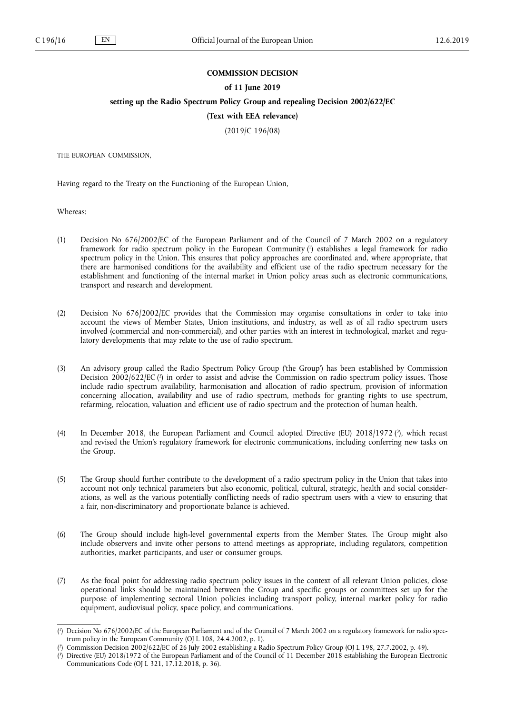# **COMMISSION DECISION**

# **of 11 June 2019**

**setting up the Radio Spectrum Policy Group and repealing Decision 2002/622/EC**

# **(Text with EEA relevance)**

(2019/C 196/08)

THE EUROPEAN COMMISSION,

Having regard to the Treaty on the Functioning of the European Union,

Whereas:

- (1) Decision No 676/2002/EC of the European Parliament and of the Council of 7 March 2002 on a regulatory framework for radio spectrum policy in the European Community ( 1 ) establishes a legal framework for radio spectrum policy in the Union. This ensures that policy approaches are coordinated and, where appropriate, that there are harmonised conditions for the availability and efficient use of the radio spectrum necessary for the establishment and functioning of the internal market in Union policy areas such as electronic communications, transport and research and development.
- (2) Decision No 676/2002/EC provides that the Commission may organise consultations in order to take into account the views of Member States, Union institutions, and industry, as well as of all radio spectrum users involved (commercial and non-commercial), and other parties with an interest in technological, market and regulatory developments that may relate to the use of radio spectrum.
- (3) An advisory group called the Radio Spectrum Policy Group ('the Group') has been established by Commission Decision 2002/622/EC (?) in order to assist and advise the Commission on radio spectrum policy issues. Those include radio spectrum availability, harmonisation and allocation of radio spectrum, provision of information concerning allocation, availability and use of radio spectrum, methods for granting rights to use spectrum, refarming, relocation, valuation and efficient use of radio spectrum and the protection of human health.
- (4) In December 2018, the European Parliament and Council adopted Directive (EU) 2018/1972 (<sup>3</sup>), which recast and revised the Union's regulatory framework for electronic communications, including conferring new tasks on the Group.
- (5) The Group should further contribute to the development of a radio spectrum policy in the Union that takes into account not only technical parameters but also economic, political, cultural, strategic, health and social considerations, as well as the various potentially conflicting needs of radio spectrum users with a view to ensuring that a fair, non-discriminatory and proportionate balance is achieved.
- (6) The Group should include high-level governmental experts from the Member States. The Group might also include observers and invite other persons to attend meetings as appropriate, including regulators, competition authorities, market participants, and user or consumer groups.
- (7) As the focal point for addressing radio spectrum policy issues in the context of all relevant Union policies, close operational links should be maintained between the Group and specific groups or committees set up for the purpose of implementing sectoral Union policies including transport policy, internal market policy for radio equipment, audiovisual policy, space policy, and communications.

<sup>(</sup> 1 ) Decision No 676/2002/EC of the European Parliament and of the Council of 7 March 2002 on a regulatory framework for radio spectrum policy in the European Community (OJ L 108, 24.4.2002, p. 1).

<sup>(</sup> 2 ) Commission Decision 2002/622/EC of 26 July 2002 establishing a Radio Spectrum Policy Group (OJ L 198, 27.7.2002, p. 49).

<sup>(</sup> 3 ) Directive (EU) 2018/1972 of the European Parliament and of the Council of 11 December 2018 establishing the European Electronic Communications Code (OJ L 321, 17.12.2018, p. 36).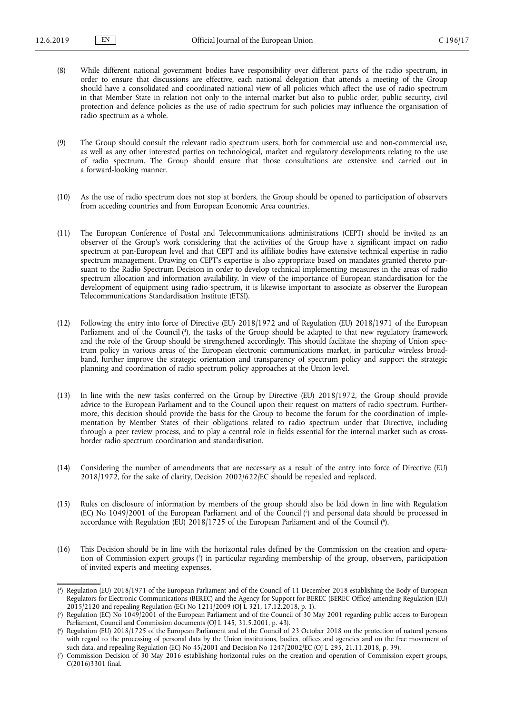- (8) While different national government bodies have responsibility over different parts of the radio spectrum, in order to ensure that discussions are effective, each national delegation that attends a meeting of the Group should have a consolidated and coordinated national view of all policies which affect the use of radio spectrum in that Member State in relation not only to the internal market but also to public order, public security, civil protection and defence policies as the use of radio spectrum for such policies may influence the organisation of radio spectrum as a whole.
- (9) The Group should consult the relevant radio spectrum users, both for commercial use and non-commercial use, as well as any other interested parties on technological, market and regulatory developments relating to the use of radio spectrum. The Group should ensure that those consultations are extensive and carried out in a forward-looking manner.
- (10) As the use of radio spectrum does not stop at borders, the Group should be opened to participation of observers from acceding countries and from European Economic Area countries.
- (11) The European Conference of Postal and Telecommunications administrations (CEPT) should be invited as an observer of the Group's work considering that the activities of the Group have a significant impact on radio spectrum at pan-European level and that CEPT and its affiliate bodies have extensive technical expertise in radio spectrum management. Drawing on CEPT's expertise is also appropriate based on mandates granted thereto pursuant to the Radio Spectrum Decision in order to develop technical implementing measures in the areas of radio spectrum allocation and information availability. In view of the importance of European standardisation for the development of equipment using radio spectrum, it is likewise important to associate as observer the European Telecommunications Standardisation Institute (ETSI).
- (12) Following the entry into force of Directive (EU) 2018/1972 and of Regulation (EU) 2018/1971 of the European Parliament and of the Council ( 4 ), the tasks of the Group should be adapted to that new regulatory framework and the role of the Group should be strengthened accordingly. This should facilitate the shaping of Union spectrum policy in various areas of the European electronic communications market, in particular wireless broadband, further improve the strategic orientation and transparency of spectrum policy and support the strategic planning and coordination of radio spectrum policy approaches at the Union level.
- (13) In line with the new tasks conferred on the Group by Directive (EU) 2018/1972, the Group should provide advice to the European Parliament and to the Council upon their request on matters of radio spectrum. Furthermore, this decision should provide the basis for the Group to become the forum for the coordination of implementation by Member States of their obligations related to radio spectrum under that Directive, including through a peer review process, and to play a central role in fields essential for the internal market such as crossborder radio spectrum coordination and standardisation.
- (14) Considering the number of amendments that are necessary as a result of the entry into force of Directive (EU) 2018/1972, for the sake of clarity, Decision 2002/622/EC should be repealed and replaced.
- (15) Rules on disclosure of information by members of the group should also be laid down in line with Regulation (EC) No 1049/2001 of the European Parliament and of the Council ( 5 ) and personal data should be processed in accordance with Regulation (EU) 2018/1725 of the European Parliament and of the Council (°).
- (16) This Decision should be in line with the horizontal rules defined by the Commission on the creation and operation of Commission expert groups ( 7 ) in particular regarding membership of the group, observers, participation of invited experts and meeting expenses,

<sup>(</sup> 4 ) Regulation (EU) 2018/1971 of the European Parliament and of the Council of 11 December 2018 establishing the Body of European Regulators for Electronic Communications (BEREC) and the Agency for Support for BEREC (BEREC Office) amending Regulation (EU) 2015/2120 and repealing Regulation (EC) No 1211/2009 (OJ L 321, 17.12.2018, p. 1).

<sup>(</sup> 5 ) Regulation (EC) No 1049/2001 of the European Parliament and of the Council of 30 May 2001 regarding public access to European Parliament, Council and Commission documents (OJ L 145, 31.5.2001, p. 43).

<sup>(</sup> 6 ) Regulation (EU) 2018/1725 of the European Parliament and of the Council of 23 October 2018 on the protection of natural persons with regard to the processing of personal data by the Union institutions, bodies, offices and agencies and on the free movement of such data, and repealing Regulation (EC) No 45/2001 and Decision No 1247/2002/EC (OJ L 295, 21.11.2018, p. 39).

<sup>(</sup> 7 ) Commission Decision of 30 May 2016 establishing horizontal rules on the creation and operation of Commission expert groups, C(2016)3301 final.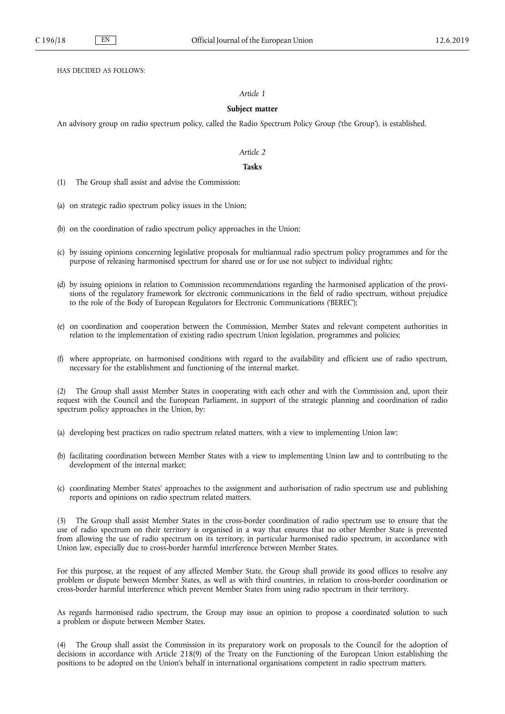HAS DECIDED AS FOLLOWS:

## *Article 1*

# **Subject matter**

An advisory group on radio spectrum policy, called the Radio Spectrum Policy Group ('the Group'), is established.

## *Article 2*

## **Tasks**

- (1) The Group shall assist and advise the Commission:
- (a) on strategic radio spectrum policy issues in the Union;
- (b) on the coordination of radio spectrum policy approaches in the Union;
- (c) by issuing opinions concerning legislative proposals for multiannual radio spectrum policy programmes and for the purpose of releasing harmonised spectrum for shared use or for use not subject to individual rights;
- (d) by issuing opinions in relation to Commission recommendations regarding the harmonised application of the provisions of the regulatory framework for electronic communications in the field of radio spectrum, without prejudice to the role of the Body of European Regulators for Electronic Communications ('BEREC');
- (e) on coordination and cooperation between the Commission, Member States and relevant competent authorities in relation to the implementation of existing radio spectrum Union legislation, programmes and policies;
- (f) where appropriate, on harmonised conditions with regard to the availability and efficient use of radio spectrum, necessary for the establishment and functioning of the internal market.

(2) The Group shall assist Member States in cooperating with each other and with the Commission and, upon their request with the Council and the European Parliament, in support of the strategic planning and coordination of radio spectrum policy approaches in the Union, by:

- (a) developing best practices on radio spectrum related matters, with a view to implementing Union law;
- (b) facilitating coordination between Member States with a view to implementing Union law and to contributing to the development of the internal market;
- (c) coordinating Member States' approaches to the assignment and authorisation of radio spectrum use and publishing reports and opinions on radio spectrum related matters.

(3) The Group shall assist Member States in the cross-border coordination of radio spectrum use to ensure that the use of radio spectrum on their territory is organised in a way that ensures that no other Member State is prevented from allowing the use of radio spectrum on its territory, in particular harmonised radio spectrum, in accordance with Union law, especially due to cross-border harmful interference between Member States.

For this purpose, at the request of any affected Member State, the Group shall provide its good offices to resolve any problem or dispute between Member States, as well as with third countries, in relation to cross-border coordination or cross-border harmful interference which prevent Member States from using radio spectrum in their territory.

As regards harmonised radio spectrum, the Group may issue an opinion to propose a coordinated solution to such a problem or dispute between Member States.

(4) The Group shall assist the Commission in its preparatory work on proposals to the Council for the adoption of decisions in accordance with Article 218(9) of the Treaty on the Functioning of the European Union establishing the positions to be adopted on the Union's behalf in international organisations competent in radio spectrum matters.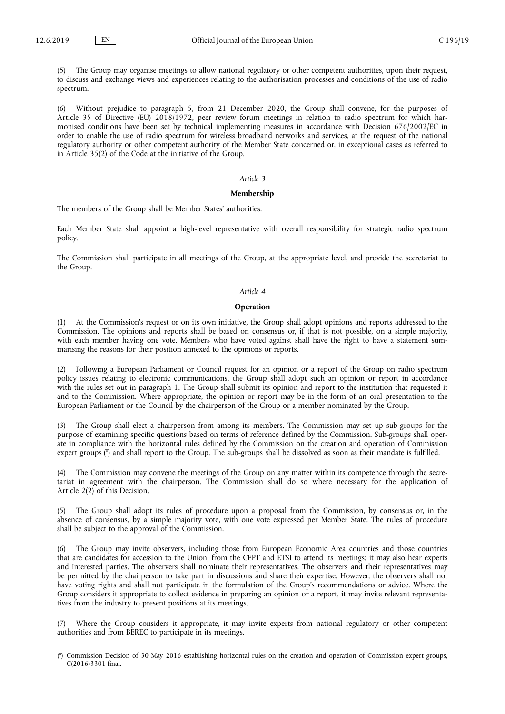(5) The Group may organise meetings to allow national regulatory or other competent authorities, upon their request, to discuss and exchange views and experiences relating to the authorisation processes and conditions of the use of radio spectrum.

(6) Without prejudice to paragraph 5, from 21 December 2020, the Group shall convene, for the purposes of Article 35 of Directive (EU) 2018/1972, peer review forum meetings in relation to radio spectrum for which harmonised conditions have been set by technical implementing measures in accordance with Decision 676/2002/EC in order to enable the use of radio spectrum for wireless broadband networks and services, at the request of the national regulatory authority or other competent authority of the Member State concerned or, in exceptional cases as referred to in Article 35(2) of the Code at the initiative of the Group.

### *Article 3*

#### **Membership**

The members of the Group shall be Member States' authorities.

Each Member State shall appoint a high-level representative with overall responsibility for strategic radio spectrum policy.

The Commission shall participate in all meetings of the Group, at the appropriate level, and provide the secretariat to the Group.

# *Article 4*

### **Operation**

(1) At the Commission's request or on its own initiative, the Group shall adopt opinions and reports addressed to the Commission. The opinions and reports shall be based on consensus or, if that is not possible, on a simple majority, with each member having one vote. Members who have voted against shall have the right to have a statement summarising the reasons for their position annexed to the opinions or reports.

(2) Following a European Parliament or Council request for an opinion or a report of the Group on radio spectrum policy issues relating to electronic communications, the Group shall adopt such an opinion or report in accordance with the rules set out in paragraph 1. The Group shall submit its opinion and report to the institution that requested it and to the Commission. Where appropriate, the opinion or report may be in the form of an oral presentation to the European Parliament or the Council by the chairperson of the Group or a member nominated by the Group.

(3) The Group shall elect a chairperson from among its members. The Commission may set up sub-groups for the purpose of examining specific questions based on terms of reference defined by the Commission. Sub-groups shall operate in compliance with the horizontal rules defined by the Commission on the creation and operation of Commission expert groups ( 8 ) and shall report to the Group. The sub-groups shall be dissolved as soon as their mandate is fulfilled.

(4) The Commission may convene the meetings of the Group on any matter within its competence through the secretariat in agreement with the chairperson. The Commission shall do so where necessary for the application of Article 2(2) of this Decision.

(5) The Group shall adopt its rules of procedure upon a proposal from the Commission, by consensus or, in the absence of consensus, by a simple majority vote, with one vote expressed per Member State. The rules of procedure shall be subject to the approval of the Commission.

(6) The Group may invite observers, including those from European Economic Area countries and those countries that are candidates for accession to the Union, from the CEPT and ETSI to attend its meetings; it may also hear experts and interested parties. The observers shall nominate their representatives. The observers and their representatives may be permitted by the chairperson to take part in discussions and share their expertise. However, the observers shall not have voting rights and shall not participate in the formulation of the Group's recommendations or advice. Where the Group considers it appropriate to collect evidence in preparing an opinion or a report, it may invite relevant representatives from the industry to present positions at its meetings.

(7) Where the Group considers it appropriate, it may invite experts from national regulatory or other competent authorities and from BEREC to participate in its meetings.

<sup>(</sup> 8 ) Commission Decision of 30 May 2016 establishing horizontal rules on the creation and operation of Commission expert groups, C(2016)3301 final.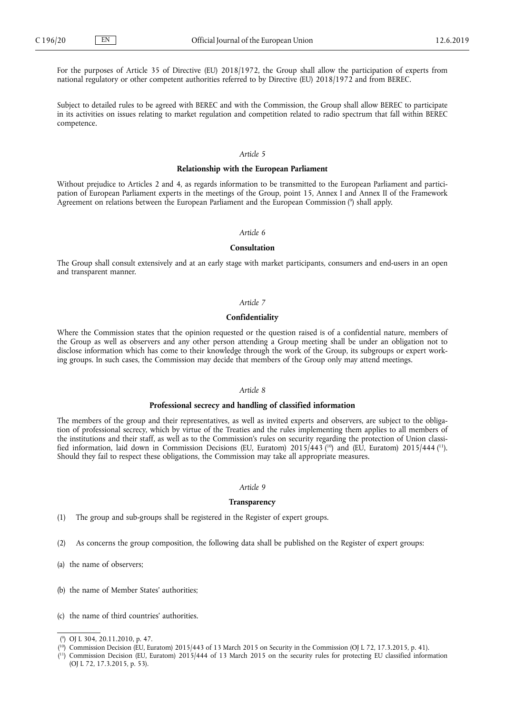For the purposes of Article 35 of Directive (EU) 2018/1972, the Group shall allow the participation of experts from national regulatory or other competent authorities referred to by Directive (EU) 2018/1972 and from BEREC.

Subject to detailed rules to be agreed with BEREC and with the Commission, the Group shall allow BEREC to participate in its activities on issues relating to market regulation and competition related to radio spectrum that fall within BEREC competence.

## *Article 5*

#### **Relationship with the European Parliament**

Without prejudice to Articles 2 and 4, as regards information to be transmitted to the European Parliament and participation of European Parliament experts in the meetings of the Group, point 15, Annex I and Annex II of the Framework Agreement on relations between the European Parliament and the European Commission ( 9 ) shall apply.

#### *Article 6*

## **Consultation**

The Group shall consult extensively and at an early stage with market participants, consumers and end-users in an open and transparent manner.

# *Article 7*

# **Confidentiality**

Where the Commission states that the opinion requested or the question raised is of a confidential nature, members of the Group as well as observers and any other person attending a Group meeting shall be under an obligation not to disclose information which has come to their knowledge through the work of the Group, its subgroups or expert working groups. In such cases, the Commission may decide that members of the Group only may attend meetings.

# *Article 8*

# **Professional secrecy and handling of classified information**

The members of the group and their representatives, as well as invited experts and observers, are subject to the obligation of professional secrecy, which by virtue of the Treaties and the rules implementing them applies to all members of the institutions and their staff, as well as to the Commission's rules on security regarding the protection of Union classified information, laid down in Commission Decisions (EU, Euratom) 2015/443 (<sup>10</sup>) and (EU, Euratom) 2015/444 (<sup>11</sup>). Should they fail to respect these obligations, the Commission may take all appropriate measures.

### *Article 9*

### **Transparency**

(1) The group and sub-groups shall be registered in the Register of expert groups.

- (2) As concerns the group composition, the following data shall be published on the Register of expert groups:
- (a) the name of observers;
- (b) the name of Member States' authorities;
- (c) the name of third countries' authorities.

( <sup>11</sup>) Commission Decision (EU, Euratom) 2015/444 of 13 March 2015 on the security rules for protecting EU classified information (OJ L 72, 17.3.2015, p. 53).

<sup>(</sup> 9 ) OJ L 304, 20.11.2010, p. 47.

 $(^{10})$  Commission Decision (EU, Euratom) 2015/443 of 13 March 2015 on Security in the Commission (OJ L 72, 17.3.2015, p. 41).